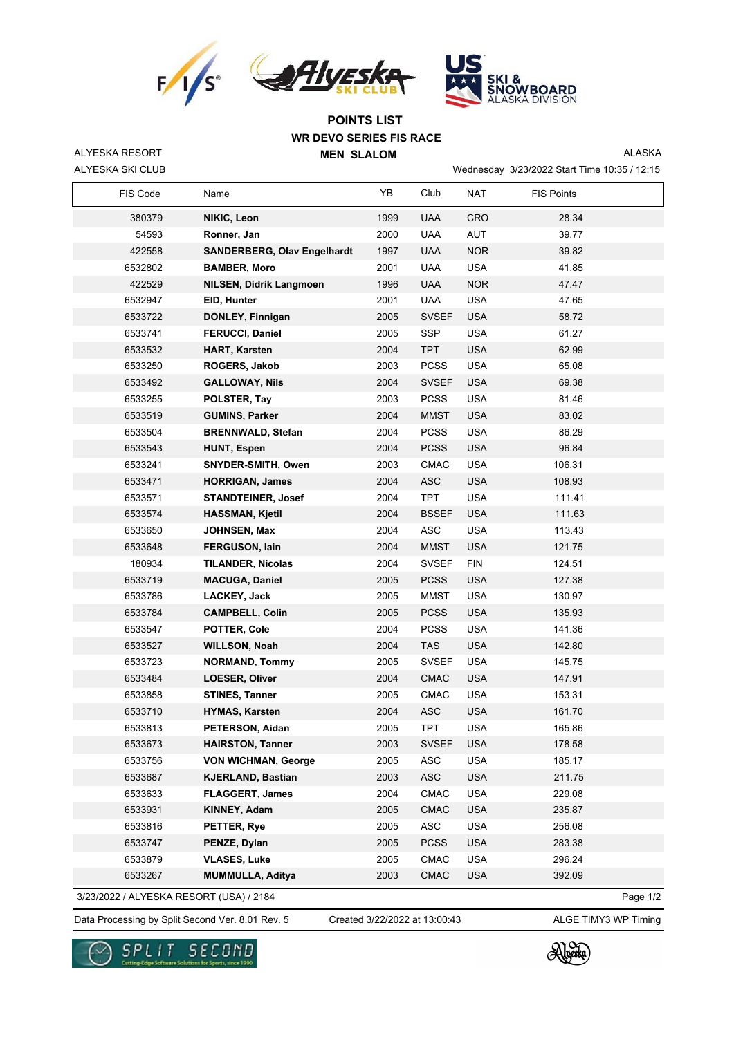



## **WR DEVO SERIES FIS RACE MEN SLALOM POINTS LIST**

ALYESKA SKI CLUB ALYESKA RESORT

Wednesday 3/23/2022 Start Time 10:35 / 12:15 ALASKA

| FIS Code | Name                               | YB   | Club         | <b>NAT</b> | <b>FIS Points</b> |
|----------|------------------------------------|------|--------------|------------|-------------------|
| 380379   | NIKIC, Leon                        | 1999 | <b>UAA</b>   | <b>CRO</b> | 28.34             |
| 54593    | Ronner, Jan                        | 2000 | <b>UAA</b>   | AUT        | 39.77             |
| 422558   | <b>SANDERBERG, Olav Engelhardt</b> | 1997 | <b>UAA</b>   | <b>NOR</b> | 39.82             |
| 6532802  | <b>BAMBER, Moro</b>                | 2001 | <b>UAA</b>   | <b>USA</b> | 41.85             |
| 422529   | <b>NILSEN, Didrik Langmoen</b>     | 1996 | <b>UAA</b>   | <b>NOR</b> | 47.47             |
| 6532947  | EID, Hunter                        | 2001 | <b>UAA</b>   | <b>USA</b> | 47.65             |
| 6533722  | DONLEY, Finnigan                   | 2005 | <b>SVSEF</b> | <b>USA</b> | 58.72             |
| 6533741  | <b>FERUCCI, Daniel</b>             | 2005 | <b>SSP</b>   | <b>USA</b> | 61.27             |
| 6533532  | <b>HART, Karsten</b>               | 2004 | <b>TPT</b>   | <b>USA</b> | 62.99             |
| 6533250  | ROGERS, Jakob                      | 2003 | <b>PCSS</b>  | <b>USA</b> | 65.08             |
| 6533492  | <b>GALLOWAY, Nils</b>              | 2004 | <b>SVSEF</b> | <b>USA</b> | 69.38             |
| 6533255  | POLSTER, Tay                       | 2003 | <b>PCSS</b>  | <b>USA</b> | 81.46             |
| 6533519  | <b>GUMINS, Parker</b>              | 2004 | <b>MMST</b>  | <b>USA</b> | 83.02             |
| 6533504  | <b>BRENNWALD, Stefan</b>           | 2004 | <b>PCSS</b>  | <b>USA</b> | 86.29             |
| 6533543  | <b>HUNT, Espen</b>                 | 2004 | <b>PCSS</b>  | <b>USA</b> | 96.84             |
| 6533241  | SNYDER-SMITH, Owen                 | 2003 | <b>CMAC</b>  | <b>USA</b> | 106.31            |
| 6533471  | <b>HORRIGAN, James</b>             | 2004 | <b>ASC</b>   | <b>USA</b> | 108.93            |
| 6533571  | <b>STANDTEINER, Josef</b>          | 2004 | <b>TPT</b>   | <b>USA</b> | 111.41            |
| 6533574  | <b>HASSMAN, Kjetil</b>             | 2004 | <b>BSSEF</b> | <b>USA</b> | 111.63            |
| 6533650  | JOHNSEN, Max                       | 2004 | ASC          | <b>USA</b> | 113.43            |
| 6533648  | FERGUSON, lain                     | 2004 | <b>MMST</b>  | <b>USA</b> | 121.75            |
| 180934   | <b>TILANDER, Nicolas</b>           | 2004 | <b>SVSEF</b> | <b>FIN</b> | 124.51            |
| 6533719  | <b>MACUGA, Daniel</b>              | 2005 | <b>PCSS</b>  | <b>USA</b> | 127.38            |
| 6533786  | LACKEY, Jack                       | 2005 | <b>MMST</b>  | <b>USA</b> | 130.97            |
| 6533784  | <b>CAMPBELL, Colin</b>             | 2005 | <b>PCSS</b>  | <b>USA</b> | 135.93            |
| 6533547  | POTTER, Cole                       | 2004 | <b>PCSS</b>  | <b>USA</b> | 141.36            |
| 6533527  | <b>WILLSON, Noah</b>               | 2004 | <b>TAS</b>   | <b>USA</b> | 142.80            |
| 6533723  | <b>NORMAND, Tommy</b>              | 2005 | <b>SVSEF</b> | <b>USA</b> | 145.75            |
| 6533484  | LOESER, Oliver                     | 2004 | <b>CMAC</b>  | <b>USA</b> | 147.91            |
| 6533858  | <b>STINES, Tanner</b>              | 2005 | <b>CMAC</b>  | <b>USA</b> | 153.31            |
| 6533710  | <b>HYMAS, Karsten</b>              | 2004 | <b>ASC</b>   | <b>USA</b> | 161.70            |
| 6533813  | PETERSON, Aidan                    | 2005 | <b>TPT</b>   | <b>USA</b> | 165.86            |
| 6533673  | <b>HAIRSTON, Tanner</b>            | 2003 | <b>SVSEF</b> | <b>USA</b> | 178.58            |
| 6533756  | <b>VON WICHMAN, George</b>         | 2005 | ASC          | <b>USA</b> | 185.17            |
| 6533687  | <b>KJERLAND, Bastian</b>           | 2003 | <b>ASC</b>   | <b>USA</b> | 211.75            |
| 6533633  | <b>FLAGGERT, James</b>             | 2004 | <b>CMAC</b>  | <b>USA</b> | 229.08            |
| 6533931  | KINNEY, Adam                       | 2005 | CMAC         | <b>USA</b> | 235.87            |
| 6533816  | PETTER, Rye                        | 2005 | ASC          | <b>USA</b> | 256.08            |
| 6533747  | PENZE, Dylan                       | 2005 | <b>PCSS</b>  | <b>USA</b> | 283.38            |
| 6533879  | <b>VLASES, Luke</b>                | 2005 | CMAC         | <b>USA</b> | 296.24            |
| 6533267  | <b>MUMMULLA, Aditya</b>            | 2003 | <b>CMAC</b>  | <b>USA</b> | 392.09            |

3/23/2022 / ALYESKA RESORT (USA) / 2184

Data Processing by Split Second Ver. 8.01 Rev. 5 Created 3/22/2022 at 13:00:43 ALGE TIMY3 WP Timing Created 3/22/2022 at 13:00:43

Page 1/2